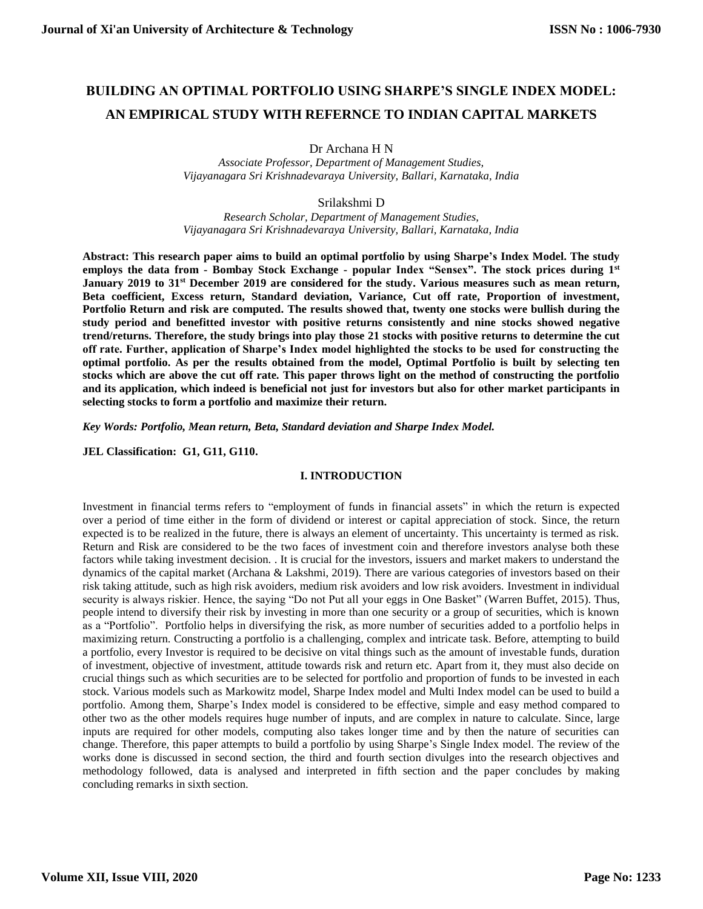# **BUILDING AN OPTIMAL PORTFOLIO USING SHARPE'S SINGLE INDEX MODEL: AN EMPIRICAL STUDY WITH REFERNCE TO INDIAN CAPITAL MARKETS**

Dr Archana H N

*Associate Professor, Department of Management Studies, Vijayanagara Sri Krishnadevaraya University, Ballari, Karnataka, India* 

Srilakshmi D

*Research Scholar, Department of Management Studies, Vijayanagara Sri Krishnadevaraya University, Ballari, Karnataka, India* 

**Abstract: This research paper aims to build an optimal portfolio by using Sharpe's Index Model. The study employs the data from - Bombay Stock Exchange - popular Index "Sensex". The stock prices during 1st January 2019 to 31st December 2019 are considered for the study. Various measures such as mean return, Beta coefficient, Excess return, Standard deviation, Variance, Cut off rate, Proportion of investment, Portfolio Return and risk are computed. The results showed that, twenty one stocks were bullish during the study period and benefitted investor with positive returns consistently and nine stocks showed negative trend/returns. Therefore, the study brings into play those 21 stocks with positive returns to determine the cut off rate. Further, application of Sharpe's Index model highlighted the stocks to be used for constructing the optimal portfolio. As per the results obtained from the model, Optimal Portfolio is built by selecting ten stocks which are above the cut off rate. This paper throws light on the method of constructing the portfolio and its application, which indeed is beneficial not just for investors but also for other market participants in selecting stocks to form a portfolio and maximize their return.** 

*Key Words: Portfolio, Mean return, Beta, Standard deviation and Sharpe Index Model.*

**JEL Classification: G1, G11, G110.**

### **I. INTRODUCTION**

Investment in financial terms refers to "employment of funds in financial assets" in which the return is expected over a period of time either in the form of dividend or interest or capital appreciation of stock. Since, the return expected is to be realized in the future, there is always an element of uncertainty. This uncertainty is termed as risk. Return and Risk are considered to be the two faces of investment coin and therefore investors analyse both these factors while taking investment decision. . It is crucial for the investors, issuers and market makers to understand the dynamics of the capital market (Archana & Lakshmi, 2019). There are various categories of investors based on their risk taking attitude, such as high risk avoiders, medium risk avoiders and low risk avoiders. Investment in individual security is always riskier. Hence, the saying "Do not Put all your eggs in One Basket" (Warren Buffet, 2015). Thus, people intend to diversify their risk by investing in more than one security or a group of securities, which is known as a "Portfolio". Portfolio helps in diversifying the risk, as more number of securities added to a portfolio helps in maximizing return. Constructing a portfolio is a challenging, complex and intricate task. Before, attempting to build a portfolio, every Investor is required to be decisive on vital things such as the amount of investable funds, duration of investment, objective of investment, attitude towards risk and return etc. Apart from it, they must also decide on crucial things such as which securities are to be selected for portfolio and proportion of funds to be invested in each stock. Various models such as Markowitz model, Sharpe Index model and Multi Index model can be used to build a portfolio. Among them, Sharpe's Index model is considered to be effective, simple and easy method compared to other two as the other models requires huge number of inputs, and are complex in nature to calculate. Since, large inputs are required for other models, computing also takes longer time and by then the nature of securities can change. Therefore, this paper attempts to build a portfolio by using Sharpe's Single Index model. The review of the works done is discussed in second section, the third and fourth section divulges into the research objectives and methodology followed, data is analysed and interpreted in fifth section and the paper concludes by making concluding remarks in sixth section.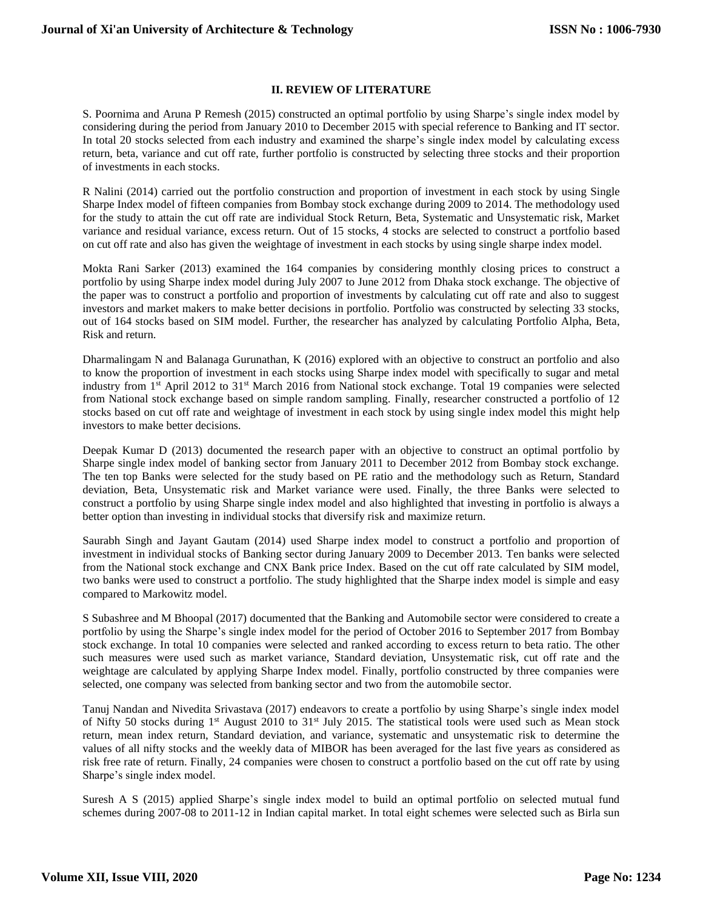### **II. REVIEW OF LITERATURE**

S. Poornima and Aruna P Remesh (2015) constructed an optimal portfolio by using Sharpe's single index model by considering during the period from January 2010 to December 2015 with special reference to Banking and IT sector. In total 20 stocks selected from each industry and examined the sharpe's single index model by calculating excess return, beta, variance and cut off rate, further portfolio is constructed by selecting three stocks and their proportion of investments in each stocks.

R Nalini (2014) carried out the portfolio construction and proportion of investment in each stock by using Single Sharpe Index model of fifteen companies from Bombay stock exchange during 2009 to 2014. The methodology used for the study to attain the cut off rate are individual Stock Return, Beta, Systematic and Unsystematic risk, Market variance and residual variance, excess return. Out of 15 stocks, 4 stocks are selected to construct a portfolio based on cut off rate and also has given the weightage of investment in each stocks by using single sharpe index model.

Mokta Rani Sarker (2013) examined the 164 companies by considering monthly closing prices to construct a portfolio by using Sharpe index model during July 2007 to June 2012 from Dhaka stock exchange. The objective of the paper was to construct a portfolio and proportion of investments by calculating cut off rate and also to suggest investors and market makers to make better decisions in portfolio. Portfolio was constructed by selecting 33 stocks, out of 164 stocks based on SIM model. Further, the researcher has analyzed by calculating Portfolio Alpha, Beta, Risk and return.

Dharmalingam N and Balanaga Gurunathan, K (2016) explored with an objective to construct an portfolio and also to know the proportion of investment in each stocks using Sharpe index model with specifically to sugar and metal industry from 1st April 2012 to 31st March 2016 from National stock exchange. Total 19 companies were selected from National stock exchange based on simple random sampling. Finally, researcher constructed a portfolio of 12 stocks based on cut off rate and weightage of investment in each stock by using single index model this might help investors to make better decisions.

Deepak Kumar D (2013) documented the research paper with an objective to construct an optimal portfolio by Sharpe single index model of banking sector from January 2011 to December 2012 from Bombay stock exchange. The ten top Banks were selected for the study based on PE ratio and the methodology such as Return, Standard deviation, Beta, Unsystematic risk and Market variance were used. Finally, the three Banks were selected to construct a portfolio by using Sharpe single index model and also highlighted that investing in portfolio is always a better option than investing in individual stocks that diversify risk and maximize return.

Saurabh Singh and Jayant Gautam (2014) used Sharpe index model to construct a portfolio and proportion of investment in individual stocks of Banking sector during January 2009 to December 2013. Ten banks were selected from the National stock exchange and CNX Bank price Index. Based on the cut off rate calculated by SIM model, two banks were used to construct a portfolio. The study highlighted that the Sharpe index model is simple and easy compared to Markowitz model.

S Subashree and M Bhoopal (2017) documented that the Banking and Automobile sector were considered to create a portfolio by using the Sharpe's single index model for the period of October 2016 to September 2017 from Bombay stock exchange. In total 10 companies were selected and ranked according to excess return to beta ratio. The other such measures were used such as market variance, Standard deviation, Unsystematic risk, cut off rate and the weightage are calculated by applying Sharpe Index model. Finally, portfolio constructed by three companies were selected, one company was selected from banking sector and two from the automobile sector.

Tanuj Nandan and Nivedita Srivastava (2017) endeavors to create a portfolio by using Sharpe's single index model of Nifty 50 stocks during  $1<sup>st</sup>$  August 2010 to 31<sup>st</sup> July 2015. The statistical tools were used such as Mean stock return, mean index return, Standard deviation, and variance, systematic and unsystematic risk to determine the values of all nifty stocks and the weekly data of MIBOR has been averaged for the last five years as considered as risk free rate of return. Finally, 24 companies were chosen to construct a portfolio based on the cut off rate by using Sharpe's single index model.

Suresh A S (2015) applied Sharpe's single index model to build an optimal portfolio on selected mutual fund schemes during 2007-08 to 2011-12 in Indian capital market. In total eight schemes were selected such as Birla sun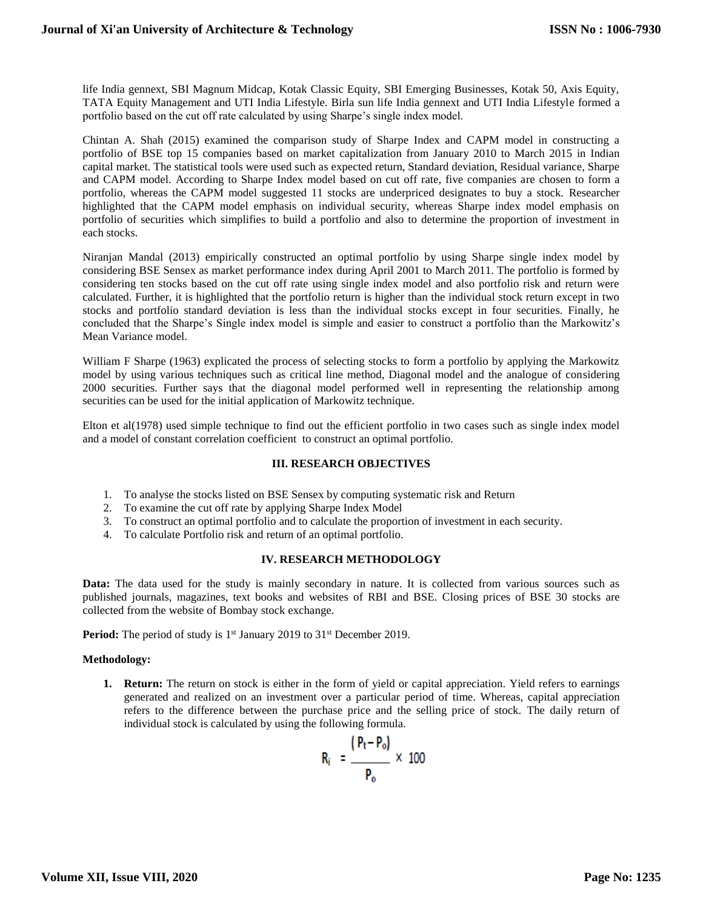life India gennext, SBI Magnum Midcap, Kotak Classic Equity, SBI Emerging Businesses, Kotak 50, Axis Equity, TATA Equity Management and UTI India Lifestyle. Birla sun life India gennext and UTI India Lifestyle formed a portfolio based on the cut off rate calculated by using Sharpe's single index model.

Chintan A. Shah (2015) examined the comparison study of Sharpe Index and CAPM model in constructing a portfolio of BSE top 15 companies based on market capitalization from January 2010 to March 2015 in Indian capital market. The statistical tools were used such as expected return, Standard deviation, Residual variance, Sharpe and CAPM model. According to Sharpe Index model based on cut off rate, five companies are chosen to form a portfolio, whereas the CAPM model suggested 11 stocks are underpriced designates to buy a stock. Researcher highlighted that the CAPM model emphasis on individual security, whereas Sharpe index model emphasis on portfolio of securities which simplifies to build a portfolio and also to determine the proportion of investment in each stocks.

Niranjan Mandal (2013) empirically constructed an optimal portfolio by using Sharpe single index model by considering BSE Sensex as market performance index during April 2001 to March 2011. The portfolio is formed by considering ten stocks based on the cut off rate using single index model and also portfolio risk and return were calculated. Further, it is highlighted that the portfolio return is higher than the individual stock return except in two stocks and portfolio standard deviation is less than the individual stocks except in four securities. Finally, he concluded that the Sharpe's Single index model is simple and easier to construct a portfolio than the Markowitz's Mean Variance model.

William F Sharpe (1963) explicated the process of selecting stocks to form a portfolio by applying the Markowitz model by using various techniques such as critical line method, Diagonal model and the analogue of considering 2000 securities. Further says that the diagonal model performed well in representing the relationship among securities can be used for the initial application of Markowitz technique.

Elton et al(1978) used simple technique to find out the efficient portfolio in two cases such as single index model and a model of constant correlation coefficient to construct an optimal portfolio.

### **III. RESEARCH OBJECTIVES**

- 1. To analyse the stocks listed on BSE Sensex by computing systematic risk and Return
- 2. To examine the cut off rate by applying Sharpe Index Model
- 3. To construct an optimal portfolio and to calculate the proportion of investment in each security.
- 4. To calculate Portfolio risk and return of an optimal portfolio.

### **IV. RESEARCH METHODOLOGY**

**Data:** The data used for the study is mainly secondary in nature. It is collected from various sources such as published journals, magazines, text books and websites of RBI and BSE. Closing prices of BSE 30 stocks are collected from the website of Bombay stock exchange.

Period: The period of study is 1<sup>st</sup> January 2019 to 31<sup>st</sup> December 2019.

### **Methodology:**

**1. Return:** The return on stock is either in the form of yield or capital appreciation. Yield refers to earnings generated and realized on an investment over a particular period of time. Whereas, capital appreciation refers to the difference between the purchase price and the selling price of stock. The daily return of individual stock is calculated by using the following formula.

$$
R_i = \frac{(P_t - P_o)}{P_o} \times 100
$$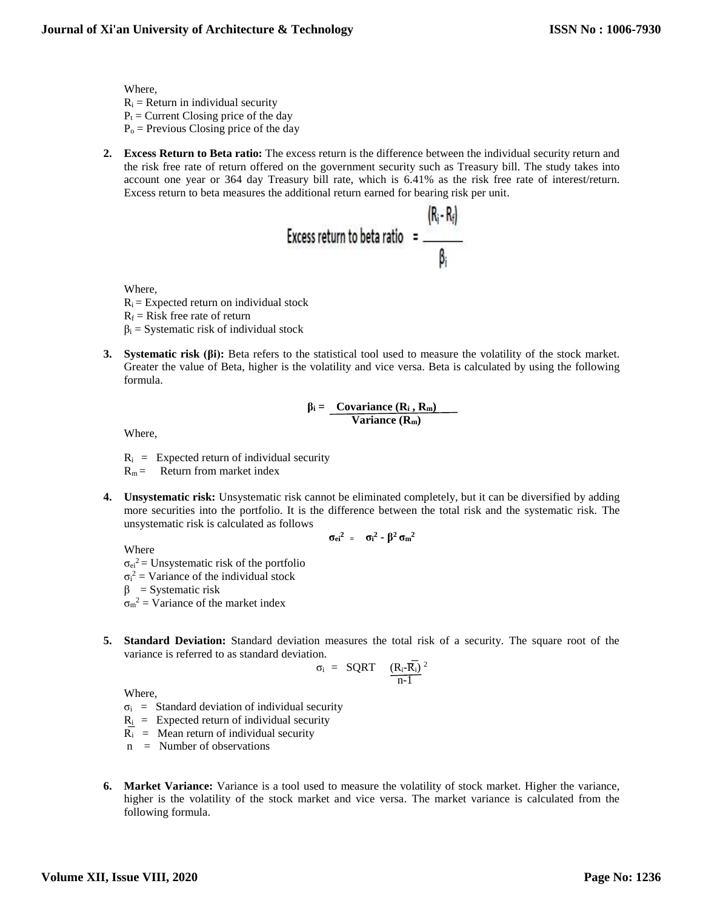Where,  $R_i$  = Return in individual security  $P_t$  = Current Closing price of the day  $P<sub>o</sub>$  = Previous Closing price of the day

**2. Excess Return to Beta ratio:** The excess return is the difference between the individual security return and the risk free rate of return offered on the government security such as Treasury bill. The study takes into account one year or 364 day Treasury bill rate, which is 6.41% as the risk free rate of interest/return. Excess return to beta measures the additional return earned for bearing risk per unit.

$$
Excess return to beta ratio = \frac{(R_i - R_f)}{\beta_i}
$$

Where,

- $R_i$  = Expected return on individual stock
- $R_f$  = Risk free rate of return
- $\beta_i$  = Systematic risk of individual stock
- **3. Systematic risk (βi):** Beta refers to the statistical tool used to measure the volatility of the stock market. Greater the value of Beta, higher is the volatility and vice versa. Beta is calculated by using the following formula.

$$
\beta_i = \frac{Covariance(R_i, R_m)}{Variance(R_m)}
$$

Where,

 $R_i$  = Expected return of individual security

 $R_m =$  Return from market index

**4. Unsystematic risk:** Unsystematic risk cannot be eliminated completely, but it can be diversified by adding more securities into the portfolio. It is the difference between the total risk and the systematic risk. The unsystematic risk is calculated as follows

$$
\sigma_{ei}^2 = \sigma_i^2 - \beta^2 \sigma_m^2
$$

Where

 $\sigma_{ei}^2$  = Unsystematic risk of the portfolio

 $\sigma_i^2$  = Variance of the individual stock

 $β = Systematic risk$ 

 $\sigma_{\rm m}{}^2$  = Variance of the market index

**5. Standard Deviation:** Standard deviation measures the total risk of a security. The square root of the variance is referred to as standard deviation.

$$
\sigma_i = SQRT \quad \frac{(R_i - \overline{R_i})^2}{n-1}
$$

Where,

 $\sigma_i$  = Standard deviation of individual security

- $R_i$  = Expected return of individual security
- $\overline{R_i}$  = Mean return of individual security
- $n =$  Number of observations
- **6. Market Variance:** Variance is a tool used to measure the volatility of stock market. Higher the variance, higher is the volatility of the stock market and vice versa. The market variance is calculated from the following formula.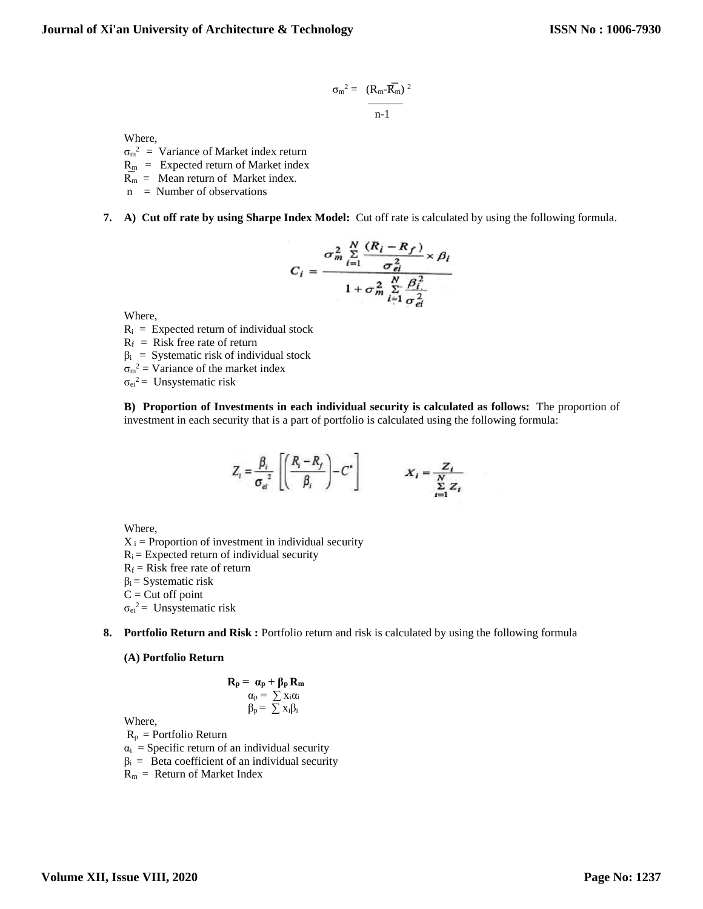$$
\sigma_m^2 = \frac{(R_m\text{-}\overline{R_m})^2}{n\text{-}1}
$$

Where,

- $\sigma_{\rm m}^2$  = Variance of Market index return
- $R_m$  = Expected return of Market index
- $R_m$  = Mean return of Market index.
- $n =$  Number of observations
- **7. A) Cut off rate by using Sharpe Index Model:** Cut off rate is calculated by using the following formula.

$$
C_i = \frac{\sigma_m^2 \sum\limits_{i=1}^{N} \frac{(R_i - R_f)}{\sigma_{ei}^2} \times \beta_i}{1 + \sigma_m^2 \sum\limits_{i=1}^{N} \frac{\beta_i^2}{\sigma_{ei}^2}}
$$

Where,

- $R_i$  = Expected return of individual stock
- $R_f$  = Risk free rate of return
- $\beta_i$  = Systematic risk of individual stock
- $\sigma_{\rm m}{}^2$  = Variance of the market index
- $\sigma_{ei}^2$  = Unsystematic risk

**B) Proportion of Investments in each individual security is calculated as follows:** The proportion of investment in each security that is a part of portfolio is calculated using the following formula:

$$
Z_i = \frac{\beta_i}{\sigma_d^2} \left[ \left( \frac{R_i - R_f}{\beta_i} \right) - C^* \right] \qquad \qquad X_i = \frac{Z_i}{\sum_{i=1}^N Z_i}
$$

Where,

 $X_i$  = Proportion of investment in individual security

 $R_i$  = Expected return of individual security

- $R_f$  = Risk free rate of return
- $\beta_i$  = Systematic risk

 $C = Cut$  off point

 $\sigma_{ei}^2$  = Unsystematic risk

**8. Portfolio Return and Risk :** Portfolio return and risk is calculated by using the following formula

### **(A) Portfolio Return**

$$
\mathbf{R}_{\mathbf{p}} = \mathbf{a}_{\mathbf{p}} + \mathbf{\beta}_{\mathbf{p}} \mathbf{R}_{\mathbf{m}}
$$

$$
\alpha_{\mathbf{p}} = \sum \mathbf{x}_{i} \alpha_{i}
$$

$$
\beta_{\mathbf{p}} = \sum \mathbf{x}_{i} \beta_{i}
$$

Where,

 $R_p$  = Portfolio Return

 $\alpha_i$  = Specific return of an individual security

 $\beta_i$  = Beta coefficient of an individual security

 $R_m$  = Return of Market Index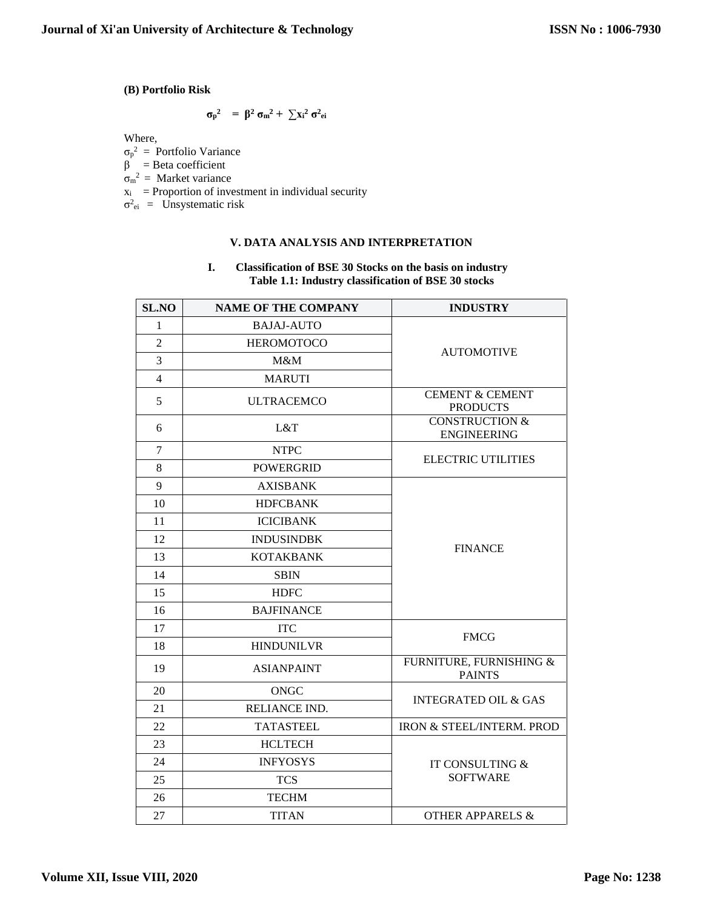### **(B) Portfolio Risk**

$$
\sigma_p^2 = \beta^2 \sigma_m^2 + \sum x_i^2 \sigma^2_{ei}
$$

Where,

 $\sigma_p^2$  = Portfolio Variance

 $\beta$  = Beta coefficient

 $\sigma_{\rm m}{}^2$  = Market variance

 $x_i$  = Proportion of investment in individual security

 $\sigma^2$ <sub>ei</sub> = Unsystematic risk

### **V. DATA ANALYSIS AND INTERPRETATION**

### **I. Classification of BSE 30 Stocks on the basis on industry Table 1.1: Industry classification of BSE 30 stocks**

| <b>SL.NO</b>   | <b>NAME OF THE COMPANY</b> | <b>INDUSTRY</b>                                 |  |  |  |
|----------------|----------------------------|-------------------------------------------------|--|--|--|
| 1              | <b>BAJAJ-AUTO</b>          |                                                 |  |  |  |
| $\overline{c}$ | <b>HEROMOTOCO</b>          |                                                 |  |  |  |
| 3              | M&M                        | <b>AUTOMOTIVE</b>                               |  |  |  |
| $\overline{4}$ | <b>MARUTI</b>              |                                                 |  |  |  |
| 5              | <b>ULTRACEMCO</b>          | <b>CEMENT &amp; CEMENT</b><br><b>PRODUCTS</b>   |  |  |  |
| 6              | L&T                        | <b>CONSTRUCTION &amp;</b><br><b>ENGINEERING</b> |  |  |  |
| $\overline{7}$ | <b>NTPC</b>                | <b>ELECTRIC UTILITIES</b>                       |  |  |  |
| $8\,$          | <b>POWERGRID</b>           |                                                 |  |  |  |
| 9              | <b>AXISBANK</b>            |                                                 |  |  |  |
| 10             | <b>HDFCBANK</b>            |                                                 |  |  |  |
| 11             | <b>ICICIBANK</b>           |                                                 |  |  |  |
| 12             | <b>INDUSINDBK</b>          | <b>FINANCE</b>                                  |  |  |  |
| 13             | <b>KOTAKBANK</b>           |                                                 |  |  |  |
| 14             | <b>SBIN</b>                |                                                 |  |  |  |
| 15             | <b>HDFC</b>                |                                                 |  |  |  |
| 16             | <b>BAJFINANCE</b>          |                                                 |  |  |  |
| 17             | <b>ITC</b>                 | <b>FMCG</b>                                     |  |  |  |
| 18             | <b>HINDUNILVR</b>          |                                                 |  |  |  |
| 19             | <b>ASIANPAINT</b>          | FURNITURE, FURNISHING &<br><b>PAINTS</b>        |  |  |  |
| 20             | <b>ONGC</b>                | <b>INTEGRATED OIL &amp; GAS</b>                 |  |  |  |
| 21             | RELIANCE IND.              |                                                 |  |  |  |
| 22             | <b>TATASTEEL</b>           | IRON & STEEL/INTERM. PROD                       |  |  |  |
| 23             | <b>HCLTECH</b>             |                                                 |  |  |  |
| 24             | <b>INFYOSYS</b>            | IT CONSULTING &                                 |  |  |  |
| 25             | <b>TCS</b>                 | <b>SOFTWARE</b>                                 |  |  |  |
| 26             | <b>TECHM</b>               |                                                 |  |  |  |
| 27             | <b>TITAN</b>               | OTHER APPARELS &                                |  |  |  |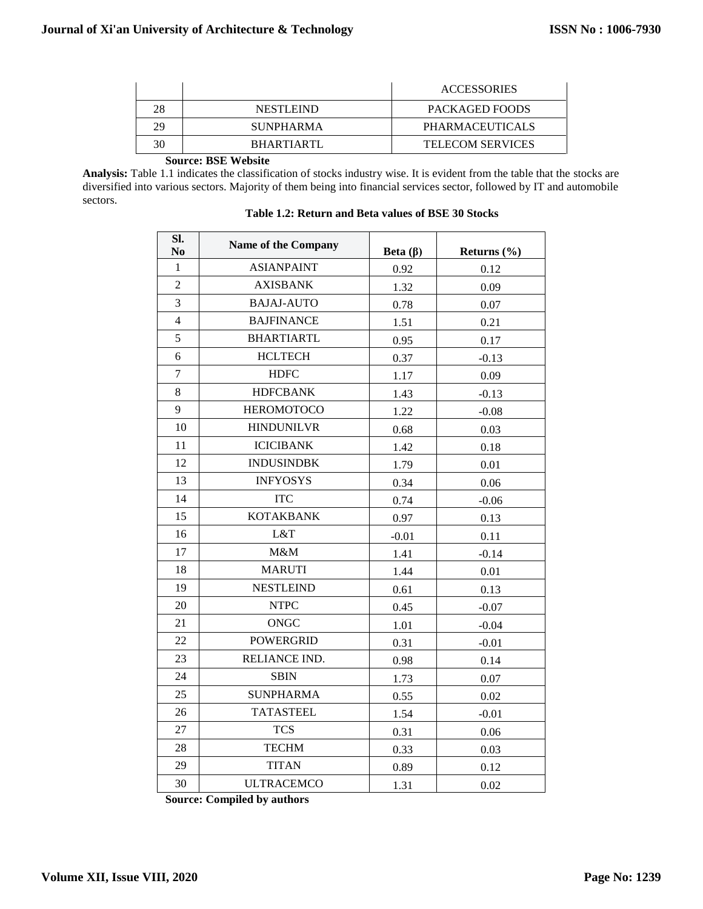| 28<br>PACKAGED FOODS<br><b>NESTLEIND</b>         |  |
|--------------------------------------------------|--|
| 29<br><b>PHARMACEUTICALS</b><br><b>SUNPHARMA</b> |  |
| <b>TELECOM SERVICES</b><br>BHARTIARTL            |  |

# **Source: BSE Website**

**Analysis:** Table 1.1 indicates the classification of stocks industry wise. It is evident from the table that the stocks are diversified into various sectors. Majority of them being into financial services sector, followed by IT and automobile sectors.

| SI.<br>N <sub>0</sub> | <b>Name of the Company</b> | Beta $(\beta)$ | Returns $(\% )$ |
|-----------------------|----------------------------|----------------|-----------------|
| $\mathbf{1}$          | <b>ASIANPAINT</b>          | 0.92           | 0.12            |
| $\overline{c}$        | <b>AXISBANK</b>            | 1.32           | 0.09            |
| 3                     | <b>BAJAJ-AUTO</b>          | 0.78           | 0.07            |
| $\overline{4}$        | <b>BAJFINANCE</b>          | 1.51           | 0.21            |
| 5                     | <b>BHARTIARTL</b>          | 0.95           | 0.17            |
| 6                     | <b>HCLTECH</b>             | 0.37           | $-0.13$         |
| $\overline{7}$        | <b>HDFC</b>                | 1.17           | 0.09            |
| 8                     | <b>HDFCBANK</b>            | 1.43           | $-0.13$         |
| 9                     | <b>HEROMOTOCO</b>          | 1.22           | $-0.08$         |
| 10                    | <b>HINDUNILVR</b>          | 0.68           | 0.03            |
| 11                    | <b>ICICIBANK</b>           | 1.42           | 0.18            |
| 12                    | <b>INDUSINDBK</b>          | 1.79           | 0.01            |
| 13                    | <b>INFYOSYS</b>            | 0.34           | 0.06            |
| 14                    | <b>ITC</b>                 | 0.74           | $-0.06$         |
| 15                    | <b>KOTAKBANK</b>           | 0.97           | 0.13            |
| 16                    | L&T                        | $-0.01$        | 0.11            |
| 17                    | M&M                        | 1.41           | $-0.14$         |
| 18                    | <b>MARUTI</b>              | 1.44           | 0.01            |
| 19                    | <b>NESTLEIND</b>           | 0.61           | 0.13            |
| 20                    | <b>NTPC</b>                | 0.45           | $-0.07$         |
| 21                    | <b>ONGC</b>                | 1.01           | $-0.04$         |
| 22                    | <b>POWERGRID</b>           | 0.31           | $-0.01$         |
| 23                    | RELIANCE IND.              | 0.98           | 0.14            |
| 24                    | <b>SBIN</b>                | 1.73           | 0.07            |
| 25                    | <b>SUNPHARMA</b>           | 0.55           | 0.02            |
| 26                    | <b>TATASTEEL</b>           | 1.54           | $-0.01$         |
| 27                    | <b>TCS</b>                 | 0.31           | 0.06            |
| 28                    | <b>TECHM</b>               | 0.33           | 0.03            |
| 29                    | <b>TITAN</b>               | 0.89           | 0.12            |
| 30                    | <b>ULTRACEMCO</b>          | 1.31           | 0.02            |

**Table 1.2: Return and Beta values of BSE 30 Stocks**

**Source: Compiled by authors**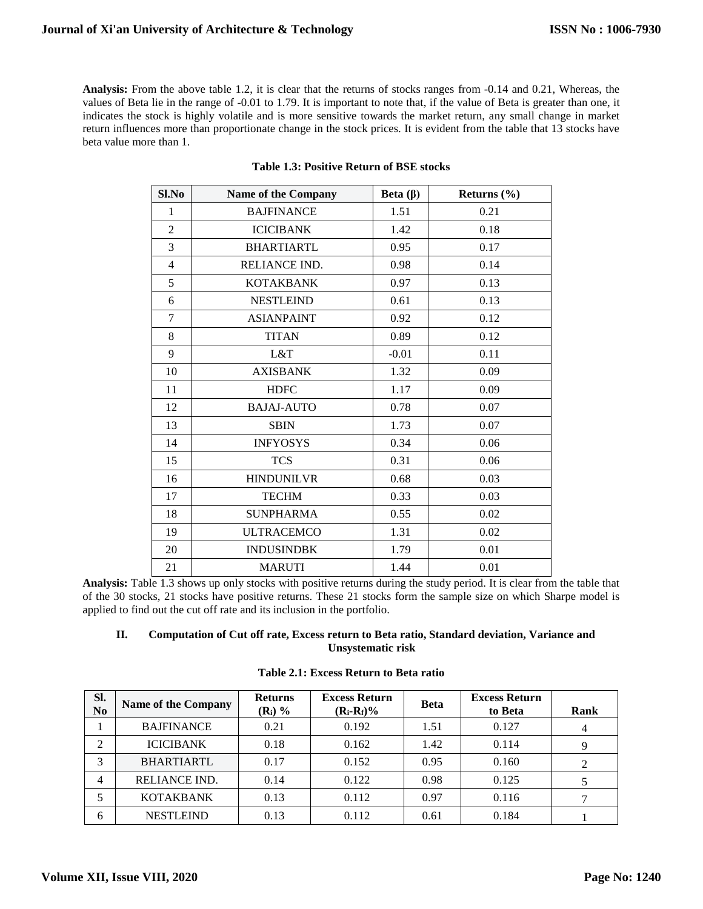**Analysis:** From the above table 1.2, it is clear that the returns of stocks ranges from -0.14 and 0.21, Whereas, the values of Beta lie in the range of -0.01 to 1.79. It is important to note that, if the value of Beta is greater than one, it indicates the stock is highly volatile and is more sensitive towards the market return, any small change in market return influences more than proportionate change in the stock prices. It is evident from the table that 13 stocks have beta value more than 1.

| Sl.No          | Name of the Company | Beta $(\beta)$ | Returns $(\% )$ |
|----------------|---------------------|----------------|-----------------|
| 1              | <b>BAJFINANCE</b>   | 1.51           | 0.21            |
| $\overline{2}$ | <b>ICICIBANK</b>    | 1.42           | 0.18            |
| 3              | <b>BHARTIARTL</b>   | 0.95           | 0.17            |
| $\overline{4}$ | RELIANCE IND.       | 0.98           | 0.14            |
| 5              | <b>KOTAKBANK</b>    | 0.97           | 0.13            |
| 6              | <b>NESTLEIND</b>    | 0.61           | 0.13            |
| $\overline{7}$ | <b>ASIANPAINT</b>   | 0.92           | 0.12            |
| 8              | <b>TITAN</b>        | 0.89           | 0.12            |
| 9              | L&T                 | $-0.01$        | 0.11            |
| 10             | <b>AXISBANK</b>     | 1.32           | 0.09            |
| 11             | <b>HDFC</b>         | 1.17           | 0.09            |
| 12             | <b>BAJAJ-AUTO</b>   | 0.78           | 0.07            |
| 13             | <b>SBIN</b>         | 1.73           | 0.07            |
| 14             | <b>INFYOSYS</b>     | 0.34           | 0.06            |
| 15             | <b>TCS</b>          | 0.31           | 0.06            |
| 16             | <b>HINDUNILVR</b>   | 0.68           | 0.03            |
| 17             | <b>TECHM</b>        | 0.33           | 0.03            |
| 18             | <b>SUNPHARMA</b>    | 0.55           | 0.02            |
| 19             | <b>ULTRACEMCO</b>   | 1.31           | 0.02            |
| 20             | <b>INDUSINDBK</b>   | 1.79           | 0.01            |
| 21             | <b>MARUTI</b>       | 1.44           | 0.01            |

### **Table 1.3: Positive Return of BSE stocks**

**Analysis:** Table 1.3 shows up only stocks with positive returns during the study period. It is clear from the table that of the 30 stocks, 21 stocks have positive returns. These 21 stocks form the sample size on which Sharpe model is applied to find out the cut off rate and its inclusion in the portfolio.

### **II. Computation of Cut off rate, Excess return to Beta ratio, Standard deviation, Variance and Unsystematic risk**

| Sl.<br>N <sub>0</sub> | <b>Name of the Company</b> | <b>Returns</b><br>$(R_i)$ % | <b>Excess Return</b><br>$(R_i-R_f)\%$ | <b>Beta</b> | <b>Excess Return</b><br>to Beta | Rank |
|-----------------------|----------------------------|-----------------------------|---------------------------------------|-------------|---------------------------------|------|
|                       | <b>BAJFINANCE</b>          | 0.21                        | 0.192                                 | 1.51        | 0.127                           | 4    |
| ↑                     | <b>ICICIBANK</b>           | 0.18                        | 0.162                                 | 1.42        | 0.114                           | 9    |
| 3                     | <b>BHARTIARTL</b>          | 0.17                        | 0.152                                 | 0.95        | 0.160                           |      |
| $\overline{4}$        | RELIANCE IND.              | 0.14                        | 0.122                                 | 0.98        | 0.125                           |      |
|                       | <b>KOTAKBANK</b>           | 0.13                        | 0.112                                 | 0.97        | 0.116                           |      |
| 6                     | <b>NESTLEIND</b>           | 0.13                        | 0.112                                 | 0.61        | 0.184                           |      |

### **Table 2.1: Excess Return to Beta ratio**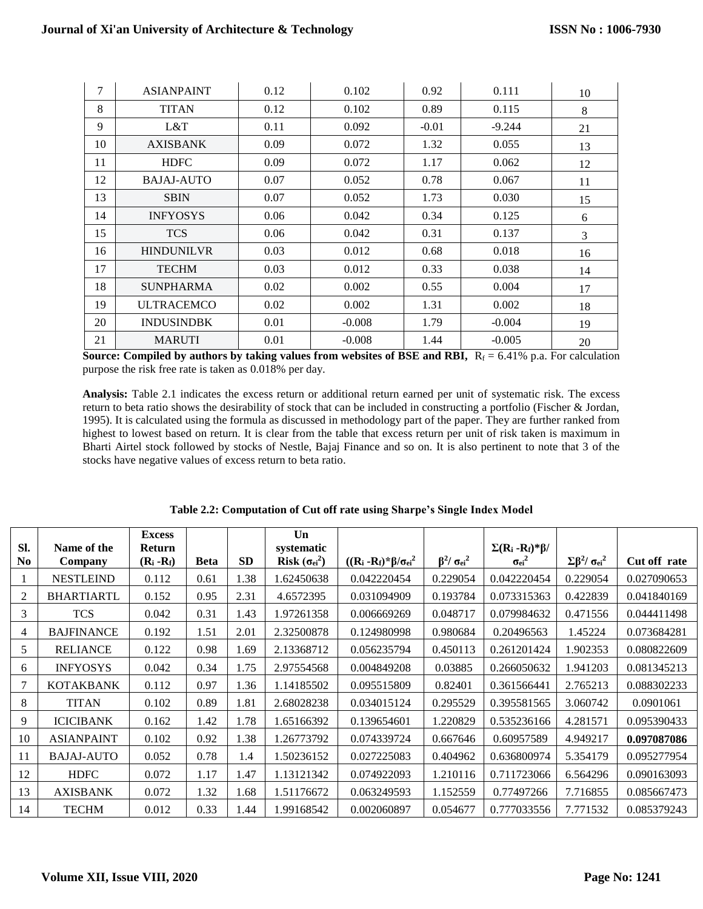| 7  | <b>ASIANPAINT</b> | 0.12 | 0.102    | 0.92    | 0.111    | 10 |
|----|-------------------|------|----------|---------|----------|----|
| 8  | <b>TITAN</b>      | 0.12 | 0.102    | 0.89    | 0.115    | 8  |
| 9  | L&T               | 0.11 | 0.092    | $-0.01$ | $-9.244$ | 21 |
| 10 | <b>AXISBANK</b>   | 0.09 | 0.072    | 1.32    | 0.055    | 13 |
| 11 | <b>HDFC</b>       | 0.09 | 0.072    | 1.17    | 0.062    | 12 |
| 12 | <b>BAJAJ-AUTO</b> | 0.07 | 0.052    | 0.78    | 0.067    | 11 |
| 13 | <b>SBIN</b>       | 0.07 | 0.052    | 1.73    | 0.030    | 15 |
| 14 | <b>INFYOSYS</b>   | 0.06 | 0.042    | 0.34    | 0.125    | 6  |
| 15 | <b>TCS</b>        | 0.06 | 0.042    | 0.31    | 0.137    | 3  |
| 16 | <b>HINDUNILVR</b> | 0.03 | 0.012    | 0.68    | 0.018    | 16 |
| 17 | <b>TECHM</b>      | 0.03 | 0.012    | 0.33    | 0.038    | 14 |
| 18 | <b>SUNPHARMA</b>  | 0.02 | 0.002    | 0.55    | 0.004    | 17 |
| 19 | <b>ULTRACEMCO</b> | 0.02 | 0.002    | 1.31    | 0.002    | 18 |
| 20 | <b>INDUSINDBK</b> | 0.01 | $-0.008$ | 1.79    | $-0.004$ | 19 |
| 21 | <b>MARUTI</b>     | 0.01 | $-0.008$ | 1.44    | $-0.005$ | 20 |

**Source: Compiled by authors by taking values from websites of BSE and RBI,**  $R_f = 6.41\%$  p.a. For calculation purpose the risk free rate is taken as 0.018% per day.

**Analysis:** Table 2.1 indicates the excess return or additional return earned per unit of systematic risk. The excess return to beta ratio shows the desirability of stock that can be included in constructing a portfolio (Fischer & Jordan, 1995). It is calculated using the formula as discussed in methodology part of the paper. They are further ranked from highest to lowest based on return. It is clear from the table that excess return per unit of risk taken is maximum in Bharti Airtel stock followed by stocks of Nestle, Bajaj Finance and so on. It is also pertinent to note that 3 of the stocks have negative values of excess return to beta ratio.

| Sl.            | Name of the       | <b>Excess</b><br>Return |             |           | Un<br>systematic       |                                         |                         | $\Sigma(R_i - R_f)$ * $\beta$ / |                                  |              |
|----------------|-------------------|-------------------------|-------------|-----------|------------------------|-----------------------------------------|-------------------------|---------------------------------|----------------------------------|--------------|
| N <sub>0</sub> | Company           | $(R_i - R_f)$           | <b>Beta</b> | <b>SD</b> | Risk $(\sigma_{ei}^2)$ | $((R_i - R_f)^* \beta / \sigma_{ei}^2)$ | $\beta^2/\sigma_{ei}^2$ | $\sigma_{ei}^2$                 | $\Sigma \beta^2 / \sigma_{ei}^2$ | Cut off rate |
|                | <b>NESTLEIND</b>  | 0.112                   | 0.61        | 1.38      | 1.62450638             | 0.042220454                             | 0.229054                | 0.042220454                     | 0.229054                         | 0.027090653  |
| 2              | <b>BHARTIARTL</b> | 0.152                   | 0.95        | 2.31      | 4.6572395              | 0.031094909                             | 0.193784                | 0.073315363                     | 0.422839                         | 0.041840169  |
| 3              | <b>TCS</b>        | 0.042                   | 0.31        | 1.43      | 1.97261358             | 0.006669269                             | 0.048717                | 0.079984632                     | 0.471556                         | 0.044411498  |
| 4              | <b>BAJFINANCE</b> | 0.192                   | 1.51        | 2.01      | 2.32500878             | 0.124980998                             | 0.980684                | 0.20496563                      | 1.45224                          | 0.073684281  |
| 5              | <b>RELIANCE</b>   | 0.122                   | 0.98        | 1.69      | 2.13368712             | 0.056235794                             | 0.450113                | 0.261201424                     | 1.902353                         | 0.080822609  |
| 6              | <b>INFYOSYS</b>   | 0.042                   | 0.34        | 1.75      | 2.97554568             | 0.004849208                             | 0.03885                 | 0.266050632                     | 1.941203                         | 0.081345213  |
| 7              | <b>KOTAKBANK</b>  | 0.112                   | 0.97        | 1.36      | 1.14185502             | 0.095515809                             | 0.82401                 | 0.361566441                     | 2.765213                         | 0.088302233  |
| 8              | <b>TITAN</b>      | 0.102                   | 0.89        | 1.81      | 2.68028238             | 0.034015124                             | 0.295529                | 0.395581565                     | 3.060742                         | 0.0901061    |
| 9              | <b>ICICIBANK</b>  | 0.162                   | 1.42        | 1.78      | 1.65166392             | 0.139654601                             | 1.220829                | 0.535236166                     | 4.281571                         | 0.095390433  |
| 10             | <b>ASIANPAINT</b> | 0.102                   | 0.92        | 1.38      | 1.26773792             | 0.074339724                             | 0.667646                | 0.60957589                      | 4.949217                         | 0.097087086  |
| 11             | <b>BAJAJ-AUTO</b> | 0.052                   | 0.78        | 1.4       | 1.50236152             | 0.027225083                             | 0.404962                | 0.636800974                     | 5.354179                         | 0.095277954  |
| 12             | <b>HDFC</b>       | 0.072                   | 1.17        | 1.47      | 1.13121342             | 0.074922093                             | 1.210116                | 0.711723066                     | 6.564296                         | 0.090163093  |
| 13             | <b>AXISBANK</b>   | 0.072                   | 1.32        | 1.68      | 1.51176672             | 0.063249593                             | 1.152559                | 0.77497266                      | 7.716855                         | 0.085667473  |
| 14             | <b>TECHM</b>      | 0.012                   | 0.33        | 1.44      | 1.99168542             | 0.002060897                             | 0.054677                | 0.777033556                     | 7.771532                         | 0.085379243  |

**Table 2.2: Computation of Cut off rate using Sharpe's Single Index Model**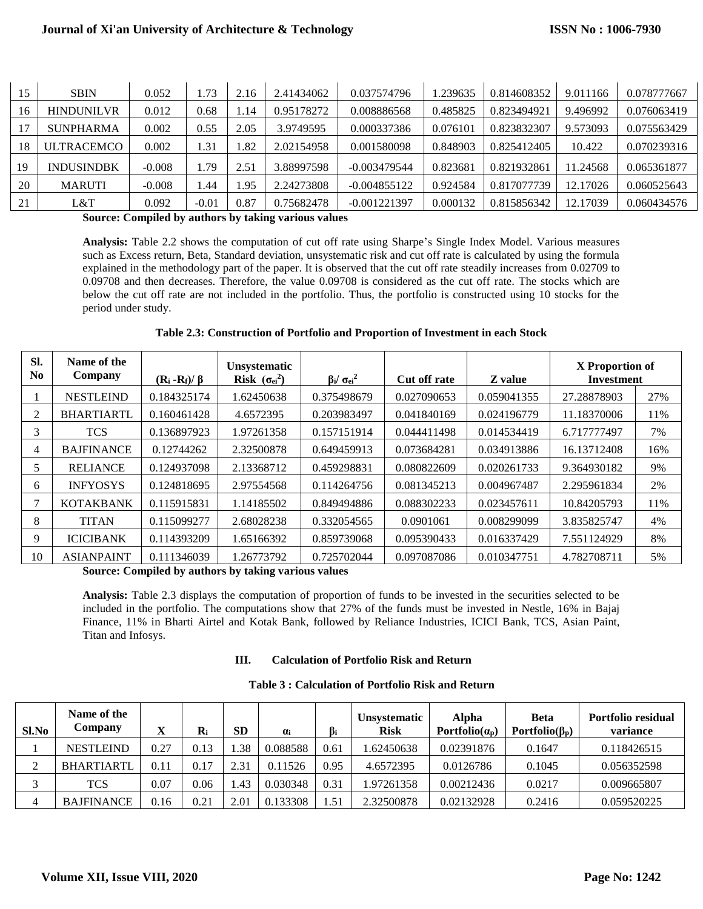| 15 | <b>SBIN</b>       | 0.052    | l.73    | 2.16 | 2.41434062 | 0.037574796    | 1.239635 | 0.814608352 | 9.011166 | 0.078777667 |
|----|-------------------|----------|---------|------|------------|----------------|----------|-------------|----------|-------------|
| 16 | <b>HINDUNILVR</b> | 0.012    | 0.68    | 1.14 | 0.95178272 | 0.008886568    | 0.485825 | 0.823494921 | 9.496992 | 0.076063419 |
| 17 | <b>SUNPHARMA</b>  | 0.002    | 0.55    | 2.05 | 3.9749595  | 0.000337386    | 0.076101 | 0.823832307 | 9.573093 | 0.075563429 |
| 18 | <b>ULTRACEMCO</b> | 0.002    | 1.31    | 1.82 | 2.02154958 | 0.001580098    | 0.848903 | 0.825412405 | 10.422   | 0.070239316 |
| 19 | <b>INDUSINDBK</b> | $-0.008$ | 1.79    | 2.51 | 3.88997598 | $-0.003479544$ | 0.823681 | 0.821932861 | 11.24568 | 0.065361877 |
| 20 | <b>MARUTI</b>     | $-0.008$ | 1.44    | 1.95 | 2.24273808 | $-0.004855122$ | 0.924584 | 0.817077739 | 12.17026 | 0.060525643 |
| 21 | ∟&T               | 0.092    | $-0.01$ | 0.87 | 0.75682478 | $-0.001221397$ | 0.000132 | 0.815856342 | 12.17039 | 0.060434576 |
|    |                   |          |         |      |            |                |          |             |          |             |

**Source: Compiled by authors by taking various values**

**Analysis:** Table 2.2 shows the computation of cut off rate using Sharpe's Single Index Model. Various measures such as Excess return, Beta, Standard deviation, unsystematic risk and cut off rate is calculated by using the formula explained in the methodology part of the paper. It is observed that the cut off rate steadily increases from 0.02709 to 0.09708 and then decreases. Therefore, the value 0.09708 is considered as the cut off rate. The stocks which are below the cut off rate are not included in the portfolio. Thus, the portfolio is constructed using 10 stocks for the period under study.

| SI.<br>N <sub>0</sub> | Name of the<br>Company | $(R_i - R_f)/\beta$ | Unsystematic<br>Risk $(\sigma_{ei}^2)$ | $\beta_i/\sigma_{ei}^2$ | <b>Cut off rate</b> | Z value     | X Proportion of<br><b>Investment</b> |     |
|-----------------------|------------------------|---------------------|----------------------------------------|-------------------------|---------------------|-------------|--------------------------------------|-----|
|                       | <b>NESTLEIND</b>       | 0.184325174         | 1.62450638                             | 0.375498679             | 0.027090653         | 0.059041355 | 27.28878903                          | 27% |
| 2                     | <b>BHARTIARTL</b>      | 0.160461428         | 4.6572395                              | 0.203983497             | 0.041840169         | 0.024196779 | 11.18370006                          | 11% |
| 3                     | <b>TCS</b>             | 0.136897923         | 1.97261358                             | 0.157151914             | 0.044411498         | 0.014534419 | 6.717777497                          | 7%  |
| 4                     | <b>BAJFINANCE</b>      | 0.12744262          | 2.32500878                             | 0.649459913             | 0.073684281         | 0.034913886 | 16.13712408                          | 16% |
| 5                     | <b>RELIANCE</b>        | 0.124937098         | 2.13368712                             | 0.459298831             | 0.080822609         | 0.020261733 | 9.364930182                          | 9%  |
| 6                     | <b>INFYOSYS</b>        | 0.124818695         | 2.97554568                             | 0.114264756             | 0.081345213         | 0.004967487 | 2.295961834                          | 2%  |
|                       | <b>KOTAKBANK</b>       | 0.115915831         | 1.14185502                             | 0.849494886             | 0.088302233         | 0.023457611 | 10.84205793                          | 11% |
| 8                     | <b>TITAN</b>           | 0.115099277         | 2.68028238                             | 0.332054565             | 0.0901061           | 0.008299099 | 3.835825747                          | 4%  |
| 9                     | <b>ICICIBANK</b>       | 0.114393209         | 1.65166392                             | 0.859739068             | 0.095390433         | 0.016337429 | 7.551124929                          | 8%  |
| 10                    | <b>ASIANPAINT</b>      | 0.111346039         | 1.26773792                             | 0.725702044             | 0.097087086         | 0.010347751 | 4.782708711                          | 5%  |

**Table 2.3: Construction of Portfolio and Proportion of Investment in each Stock**

**Source: Compiled by authors by taking various values**

**Analysis:** Table 2.3 displays the computation of proportion of funds to be invested in the securities selected to be included in the portfolio. The computations show that 27% of the funds must be invested in Nestle, 16% in Bajaj Finance, 11% in Bharti Airtel and Kotak Bank, followed by Reliance Industries, ICICI Bank, TCS, Asian Paint, Titan and Infosys.

### **III. Calculation of Portfolio Risk and Return**

| Sl.No | Name of the<br>Company | v<br>л | $\mathbf{R}_{i}$ | <b>SD</b> | $\alpha_i$ | Bi   | <b>Unsystematic</b><br><b>Risk</b> | Alpha<br>Portfolio $(a_p)$ | <b>Beta</b><br>Portfolio( $\beta_p$ ) | Portfolio residual<br>variance |
|-------|------------------------|--------|------------------|-----------|------------|------|------------------------------------|----------------------------|---------------------------------------|--------------------------------|
|       | <b>NESTLEIND</b>       | 0.27   | 0.13             | .38       | 0.088588   | 0.61 | .62450638                          | 0.02391876                 | 0.1647                                | 0.118426515                    |
| ◠     | <b>BHARTIARTL</b>      | 0.11   | 0.17             | 2.31      | 0.11526    | 0.95 | 4.6572395                          | 0.0126786                  | 0.1045                                | 0.056352598                    |
|       | <b>TCS</b>             | 0.07   | 0.06             | .43       | 0.030348   | 0.31 | 1.97261358                         | 0.00212436                 | 0.0217                                | 0.009665807                    |
|       | <b>BAJFINANCE</b>      | 0.16   | 0.21             | 2.01      | 0.133308   | 51.ء | 2.32500878                         | 0.02132928                 | 0.2416                                | 0.059520225                    |

### **Table 3 : Calculation of Portfolio Risk and Return**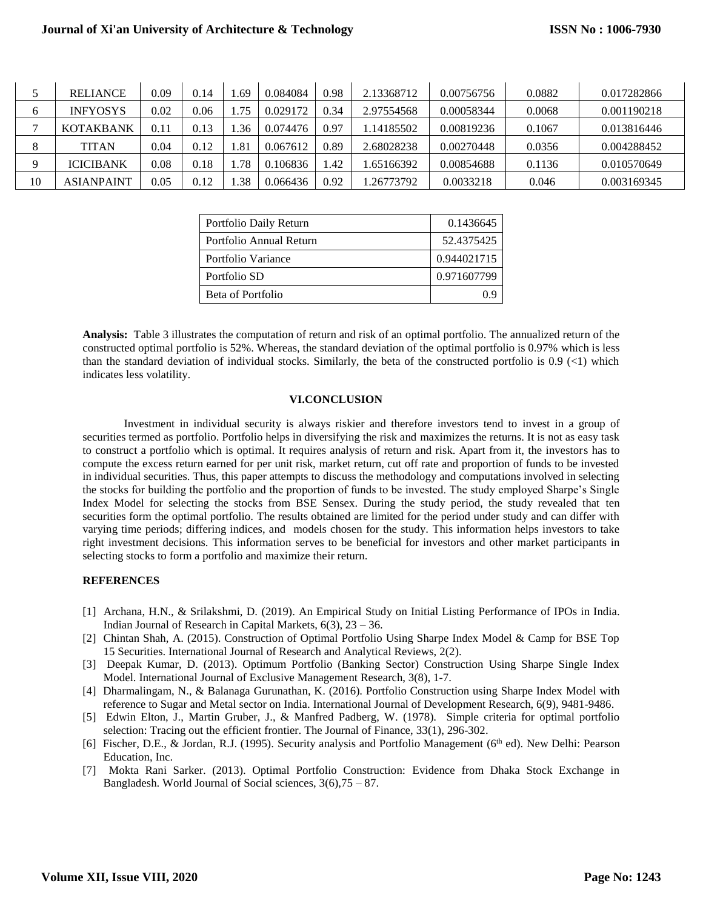## **Journal of Xi'an University of Architecture & Technology**

|    | <b>RELIANCE</b>  | 0.09     | 0.14 | .69  | 0.084084 | 0.98 | 2.13368712 | 0.00756756 | 0.0882 | 0.017282866 |
|----|------------------|----------|------|------|----------|------|------------|------------|--------|-------------|
|    | <b>INFYOSYS</b>  | 0.02     | 0.06 | 1.75 | 0.029172 | 0.34 | 2.97554568 | 0.00058344 | 0.0068 | 0.001190218 |
|    | <b>KOTAKBANK</b> | $0.11\,$ | 0.13 | .36  | 0.074476 | 0.97 | .14185502  | 0.00819236 | 0.1067 | 0.013816446 |
|    | <b>TITAN</b>     | 0.04     | 0.12 | .81  | 0.067612 | 0.89 | 2.68028238 | 0.00270448 | 0.0356 | 0.004288452 |
|    | <b>ICICIBANK</b> | 0.08     | 0.18 | .78  | 0.106836 | l.42 | .65166392  | 0.00854688 | 0.1136 | 0.010570649 |
| 10 | ASIANPAINT       | 0.05     | 0.12 | .38  | 0.066436 | 0.92 | .26773792  | 0.0033218  | 0.046  | 0.003169345 |

| Portfolio Daily Return  | 0.1436645   |
|-------------------------|-------------|
| Portfolio Annual Return | 52.4375425  |
| Portfolio Variance      | 0.944021715 |
| Portfolio SD            | 0.971607799 |
| Beta of Portfolio       |             |

**Analysis:** Table 3 illustrates the computation of return and risk of an optimal portfolio. The annualized return of the constructed optimal portfolio is 52%. Whereas, the standard deviation of the optimal portfolio is 0.97% which is less than the standard deviation of individual stocks. Similarly, the beta of the constructed portfolio is  $0.9$  (<1) which indicates less volatility.

### **VI.CONCLUSION**

Investment in individual security is always riskier and therefore investors tend to invest in a group of securities termed as portfolio. Portfolio helps in diversifying the risk and maximizes the returns. It is not as easy task to construct a portfolio which is optimal. It requires analysis of return and risk. Apart from it, the investors has to compute the excess return earned for per unit risk, market return, cut off rate and proportion of funds to be invested in individual securities. Thus, this paper attempts to discuss the methodology and computations involved in selecting the stocks for building the portfolio and the proportion of funds to be invested. The study employed Sharpe's Single Index Model for selecting the stocks from BSE Sensex. During the study period, the study revealed that ten securities form the optimal portfolio. The results obtained are limited for the period under study and can differ with varying time periods; differing indices, and models chosen for the study. This information helps investors to take right investment decisions. This information serves to be beneficial for investors and other market participants in selecting stocks to form a portfolio and maximize their return.

### **REFERENCES**

- [1] Archana, H.N., & Srilakshmi, D. (2019). An Empirical Study on Initial Listing Performance of IPOs in India. Indian Journal of Research in Capital Markets,  $6(3)$ ,  $23 - 36$ .
- [2] Chintan Shah, A. (2015). Construction of Optimal Portfolio Using Sharpe Index Model & Camp for BSE Top 15 Securities. International Journal of Research and Analytical Reviews, 2(2).
- [3] Deepak Kumar, D. (2013). Optimum Portfolio (Banking Sector) Construction Using Sharpe Single Index Model. International Journal of Exclusive Management Research, 3(8), 1-7.
- [4] Dharmalingam, N., & Balanaga Gurunathan, K. (2016). Portfolio Construction using Sharpe Index Model with reference to Sugar and Metal sector on India. International Journal of Development Research, 6(9), 9481-9486.
- [5] Edwin Elton, J., Martin Gruber, J., & Manfred Padberg, W. (1978). Simple criteria for optimal portfolio selection: Tracing out the efficient frontier. The Journal of Finance, 33(1), 296-302.
- [6] Fischer, D.E., & Jordan, R.J. (1995). Security analysis and Portfolio Management (6th ed). New Delhi: Pearson Education, Inc.
- [7] Mokta Rani Sarker. (2013). Optimal Portfolio Construction: Evidence from Dhaka Stock Exchange in Bangladesh. World Journal of Social sciences,  $3(6)$ ,  $75 - 87$ .